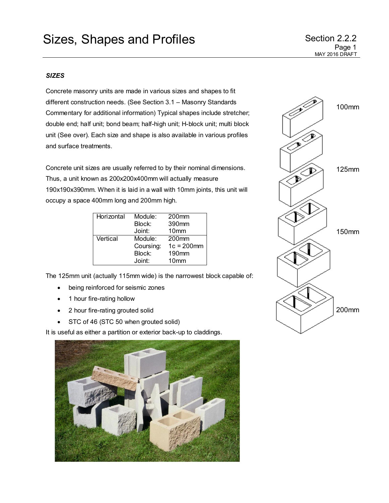## *SIZES*

Concrete masonry units are made in various sizes and shapes to fit different construction needs. (See Section 3.1 – Masonry Standards Commentary for additional information) Typical shapes include stretcher; double end; half unit; bond beam; half-high unit; H-block unit; multi block unit (See over). Each size and shape is also available in various profiles and surface treatments.

Concrete unit sizes are usually referred to by their nominal dimensions. Thus, a unit known as 200x200x400mm will actually measure 190x190x390mm. When it is laid in a wall with 10mm joints, this unit will occupy a space 400mm long and 200mm high.

| Horizontal | Module:   | 200 <sub>mm</sub> |
|------------|-----------|-------------------|
|            | Block:    | 390mm             |
|            | Joint:    | 10 <sub>mm</sub>  |
| Vertical   | Module:   | 200 <sub>mm</sub> |
|            | Coursing: | $1c = 200$ mm     |
|            | Block:    | 190 <sub>mm</sub> |
|            | Joint:    | 10 <sub>mm</sub>  |

The 125mm unit (actually 115mm wide) is the narrowest block capable of:

- being reinforced for seismic zones
- 1 hour fire-rating hollow
- 2 hour fire-rating grouted solid
- STC of 46 (STC 50 when grouted solid)

It is useful as either a partition or exterior back-up to claddings.



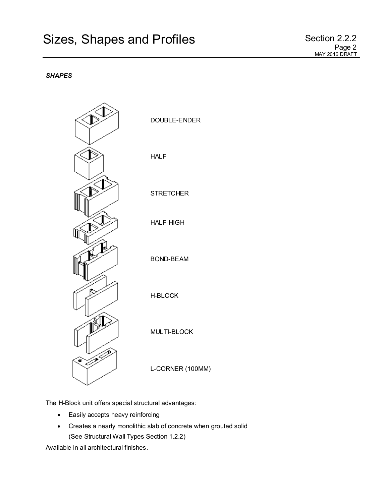## *SHAPES*



The H-Block unit offers special structural advantages:

- Easily accepts heavy reinforcing
- Creates a nearly monolithic slab of concrete when grouted solid (See Structural Wall Types Section 1.2.2)

Available in all architectural finishes.